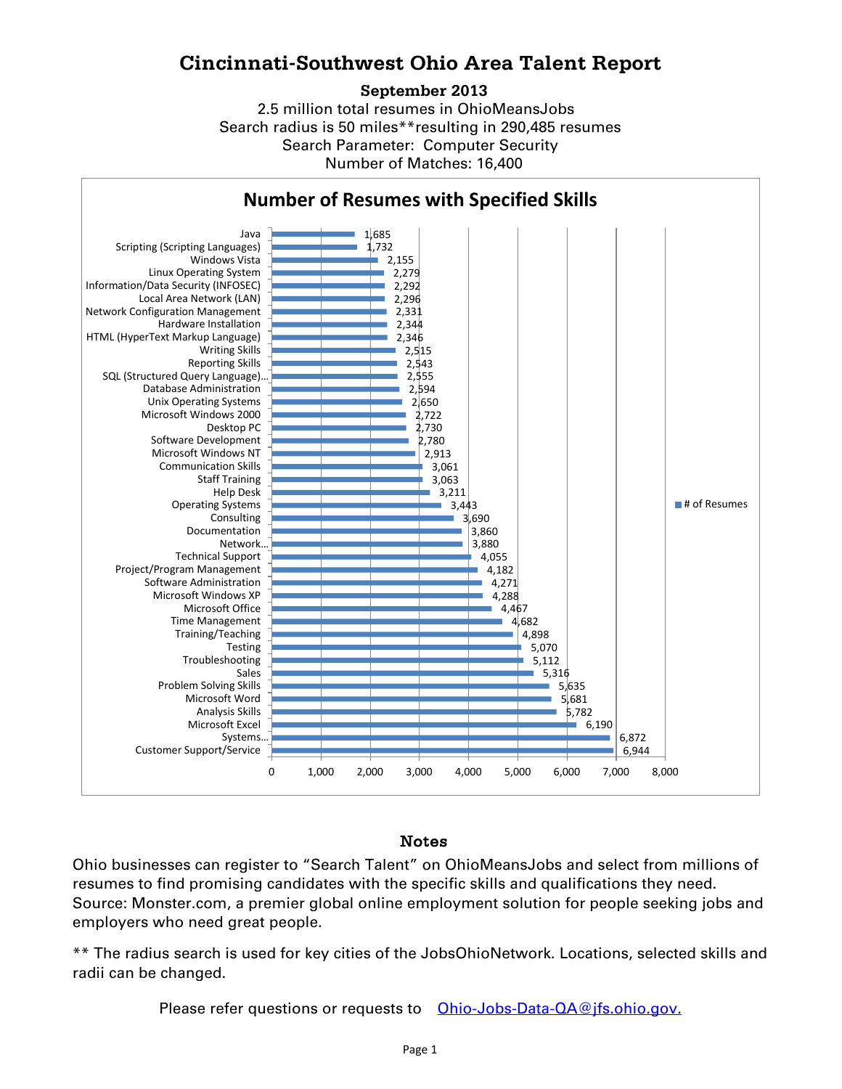## **Cincinnati-Southwest Ohio Area Talent Report**

## **September 2013**

Search radius is 50 miles\*\*resulting in 290,485 resumes Number of Matches: 16,400 Search Parameter: Computer Security 2.5 million total resumes in OhioMeansJobs



## Notes

Ohio businesses can register to "Search Talent" on OhioMeansJobs and select from millions of resumes to find promising candidates with the specific skills and qualifications they need. Source: Monster.com, a premier global online employment solution for people seeking jobs and employers who need great people.

\*\* The radius search is used for key cities of the JobsOhioNetwork. Locations, selected skills and radii can be changed.

Please refer questions or requests to **[Ohio-Jobs-Data-QA@jfs.ohio.gov.](mailto:Ohio-Jobs-Data-QA@jfs.ohio.gov.)**